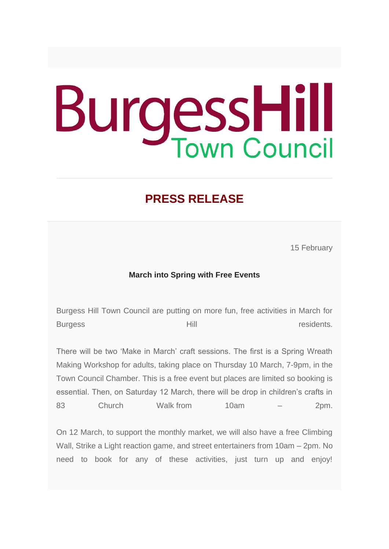## **BurgessHill**

## **PRESS RELEASE**

15 February

## **March into Spring with Free Events**

Burgess Hill Town Council are putting on more fun, free activities in March for Burgess **Exercise Exercise Exercise Exercise Exercise Exercise Exercise Exercise Exercise Exercise Exercise Exercise** 

There will be two 'Make in March' craft sessions. The first is a Spring Wreath Making Workshop for adults, taking place on Thursday 10 March, 7-9pm, in the Town Council Chamber. This is a free event but places are limited so booking is essential. Then, on Saturday 12 March, there will be drop in children's crafts in 83 Church Walk from 10am – 2pm.

On 12 March, to support the monthly market, we will also have a free Climbing Wall, Strike a Light reaction game, and street entertainers from 10am – 2pm. No need to book for any of these activities, just turn up and enjoy!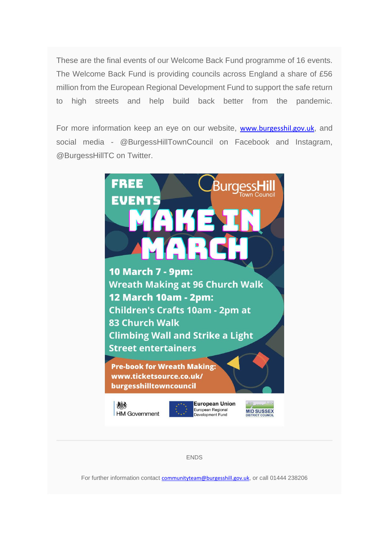These are the final events of our Welcome Back Fund programme of 16 events. The Welcome Back Fund is providing councils across England a share of £56 million from the European Regional Development Fund to support the safe return to high streets and help build back better from the pandemic.

For more information keep an eye on our website, [www.burgesshil.gov.uk](http://www.burgesshil.gov.uk/), and social media - @BurgessHillTownCouncil on Facebook and Instagram, @BurgessHillTC on Twitter.



For further information contact [communityteam@burgesshill.gov.uk](mailto:communityteam@burgesshill.gov.uk), or call 01444 238206